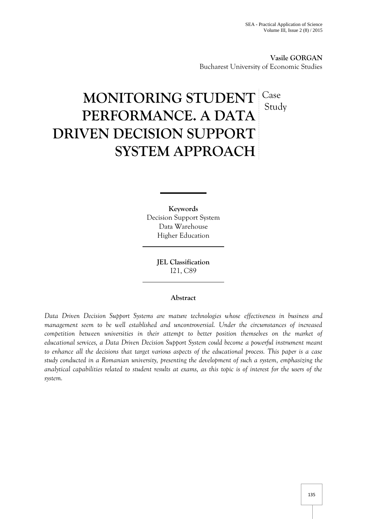**Vasile GORGAN** Bucharest University of Economic Studies

# **MONITORING STUDENT PERFORMANCE. A DATA DRIVEN DECISION SUPPORT SYSTEM APPROACH** Case Study

**Keywords** Decision Support System Data Warehouse Higher Education

> **JEL Classification** I21, C89

## **Abstract**

*Data Driven Decision Support Systems are mature technologies whose effectiveness in business and management seem to be well established and uncontroversial. Under the circumstances of increased competition between universities in their attempt to better position themselves on the market of educational services, a Data Driven Decision Support System could become a powerful instrument meant to enhance all the decisions that target various aspects of the educational process. This paper is a case study conducted in a Romanian university, presenting the development of such a system, emphasizing the analytical capabilities related to student results at exams, as this topic is of interest for the users of the system.*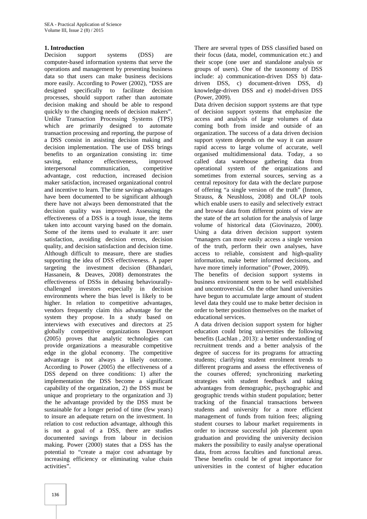#### **1. Introduction**

Decision support systems (DSS) are computer-based information systems that serve the operations and management by presenting business data so that users can make business decisions more easily. According to Power (2002), "DSS are designed specifically to facilitate decision processes, should support rather than automate decision making and should be able to respond quickly to the changing needs of decision makers". Unlike Transaction Processing Systems (TPS) which are primarily designed to automate transaction processing and reporting, the purpose of a DSS consist in assisting decision making and decision implementation. The use of DSS brings benefits to an organization consisting in: time saving, enhance effectiveness, improved interpersonal communication, competitive advantage, cost reduction, increased decision maker satisfaction, increased organizational control and incentive to learn. The time savings advantages have been documented to be significant although there have not always been demonstrated that the decision quality was improved. Assessing the effectiveness of a DSS is a tough issue, the items taken into account varying based on the domain. Some of the items used to evaluate it are: user satisfaction, avoiding decision errors, decision quality, and decision satisfaction and decision time. Although difficult to measure, there are studies supporting the idea of DSS effectiveness. A paper targeting the investment decision (Bhandari, Hassanein, & Deaves, 2008) demonstrates the effectiveness of DSSs in debasing behaviourally challenged investors especially in decision environments where the bias level is likely to be higher. In relation to competitive advantages, vendors frequently claim this advantage for the system they propose. In a study based on interviews with executives and directors at 25 globally competitive organizations Davenport (2005) proves that analytic technologies can provide organizations a measurable competitive edge in the global economy. The competitive advantage is not always a likely outcome. According to Power (2005) the effectiveness of a DSS depend on three conditions: 1) after the implementation the DSS become a significant capability of the organization, 2) the DSS must be unique and proprietary to the organization and 3) the he advantage provided by the DSS must be sustainable for a longer period of time (few years) to insure an adequate return on the investment. In relation to cost reduction advantage, although this is not a goal of a DSS, there are studies documented savings from labour in decision making. Power (2000) states that a DSS has the potential to "create a major cost advantage by increasing efficiency or eliminating value chain activities".

There are several types of DSS classified based on their focus (data, model, communication etc.) and their scope (one user and standalone analysis or groups of users). One of the taxonomy of DSS include: a) communication-driven DSS b) data driven DSS, c) document-driven DSS, d) knowledge-driven DSS and e) model-driven DSS (Power, 2009).

Data driven decision support systems are that type of decision support systems that emphasize the access and analysis of large volumes of data coming both from inside and outside of an organization. The success of a data driven decision support system depends on the way it can assure rapid access to large volume of accurate, well organised multidimensional data. Today, a so called data warehouse gathering data from operational system of the organizations and sometimes from external sources, serving as a central repository for data with the declare purpose of offering "a single version of the truth" (Inmon, Strauss, & Neushloss, 2008) and OLAP tools which enable users to easily and selectively extract and browse data from different points of view are the state of the art solution for the analysis of large volume of historical data (Giovinazzo, 2000). Using a data driven decision support system "managers can more easily access a single version of the truth, perform their own analyses, have access to reliable, consistent and high-quality information, make better informed decisions, and have more timely information" (Power, 2009).

The benefits of decision support systems in business environment seem to be well established and uncontroversial. On the other hand universities have begun to accumulate large amount of student level data they could use to make better decision in order to better position themselves on the market of educational services.

A data driven decision support system for higher education could bring universities the following benefits (Lachlan , 2013): a better understanding of recruitment trends and a better analysis of the degree of success for its programs for attracting students; clarifying student enrolment trends to different programs and assess the effectiveness of the courses offered; synchronizing marketing strategies with student feedback and taking advantages from demographic, psychographic and geographic trends within student population; better tracking of the financial transactions between students and university for a more efficient management of funds from tuition fees; aligning student courses to labour market requirements in order to increase successful job placement upon graduation and providing the university decision makers the possibility to easily analyse operational data, from across faculties and functional areas. These benefits could be of great importance for universities in the context of higher education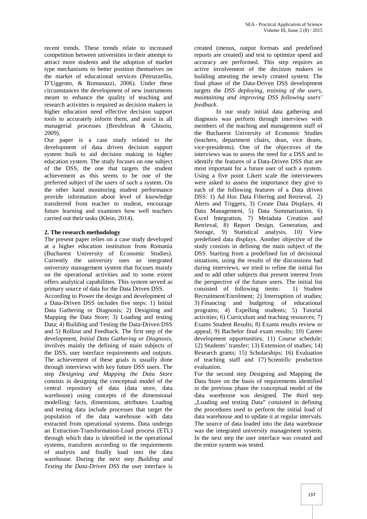recent trends. These trends relate to increased competition between universities in their attempt to attract more students and the adoption of market type mechanisms to better position themselves on the market of educational services (Petruzzellis, D'Uggento, & Romanazzi, 2006). Under these circumstances the development of new instruments meant to enhance the quality of teaching and research activities is required as decision makers in *feedback*. higher education need effective decision support tools to accurately inform them, and assist in all managerial processes (Bresfelean & Ghisoiu, 2009).

Our paper is a case study related to the development of data driven decision support system built to aid decision making in higher education system. The study focuses on one subject of the DSS, the one that targets the student achievement as this seems to be one of the preferred subject of the users of such a system. On the other hand monitoring student performance provide information about level of knowledge transferred from teacher to student, encourage future learning and examines how well teachers carried out their tasks (Klein, 2014).

### **2. The research methodology**

The present paper relies on a case study developed at a higher education institution from Romania (Bucharest University of Economic Studies). Currently the university uses an integrated university management system that focuses mainly on the operational activities and to some extent offers analytical capabilities. This system served as primary source of data for the Data Driven DSS.

According to Power the design and development of a Data-Driven DSS includes five steps: 1) Initial Data Gathering or Diagnosis; 2) Designing and Mapping the Data Store; 3) Loading and testing Data; 4) Building and Testing the Data-Driven DSS and 5) Rollout and Feedback. The first step of the development*, Initial Data Gathering or Diagnosis*, involves mainly the defining of main subjects of the DSS, user interface requirements and outputs. The achievement of these goals is usually done through interviews with key future DSS users. The step *Designing and Mapping the Data Store* consists in designing the conceptual model of the central repository of data (data store, data warehouse) using concepts of the dimensional modelling: facts, dimensions, attributes. Loading and testing data include processes that target the population of the data warehouse with data extracted from operational systems. Data undergo an Extraction-Transformation-Load process (ETL) through which data is identified in the operational systems, transform according to the requirements of analysis and finally load into the data warehouse. During the next step *Building and Testing the Data-Driven DSS* the user interface is

created (menus, output formats and predefined reports are created) and test to optimize speed and accuracy are performed. This step requires an active involvement of the decision makers in building attesting the newly created system. The final phase of the Data-Driven DSS development targets the *DSS deploying, training of the users, maintaining and improving DSS following users'*

In our study initial data gathering and diagnosis was perform through interviews with members of the teaching and management staff of the Bucharest University of Economic Studies (teachers, department chairs, dean, vice deans, vice-presidents). One of the objectives of the interviews was to assess the need for a DSS and to identify the features of a Data-Driven DSS that are most important for a future user of such a system. Using a five point Likert scale the interviewees were asked to assess the importance they give to each of the following features of a Data driven DSS: 1) Ad Hoc Data Filtering and Retrieval, 2) Alerts and Triggers, 3) Create Data Displays, 4) Data Management, 5) Data Summarization, 6) Excel Integration, 7) Metadata Creation and Retrieval, 8) Report Design, Generation, and Storage, 9) Statistical analysis, 10) View predefined data displays. Another objective of the study consists in defining the main subject of the DSS. Starting from a predefined list of decisional situations, using the results of the discussions had during interviews, we tried to refine the initial list and to add other subjects that present interest from the perspective of the future users. The initial list consisted of following items: 1) Student Recruitment/Enrolment; 2) Interruption of studies; 3) Financing and budgeting of educational programs; 4) Expelling students; 5) Tutorial activities; 6) Curriculum and teaching resources; 7) Exams Student Results; 8) Exams results review or appeal; 9) Bachelor final exam results; 10) Career development opportunities; 11) Course schedule; 12) Students' transfer; 13) Extension of studies; 14) Research grants; 15) Scholarships; 16) Evaluation of teaching staff and 17) Scientific production evaluation.

For the second step Designing and Mapping the Data Store on the basis of requirements identified in the previous phase the conceptual model of the data warehouse was designed. The third step "Loading and testing Data" consisted in defining the procedures used to perform the initial load of data warehouse and to update it at regular intervals. The source of data loaded into the data warehouse was the integrated university management system. In the next step the user interface was created and the entire system was tested.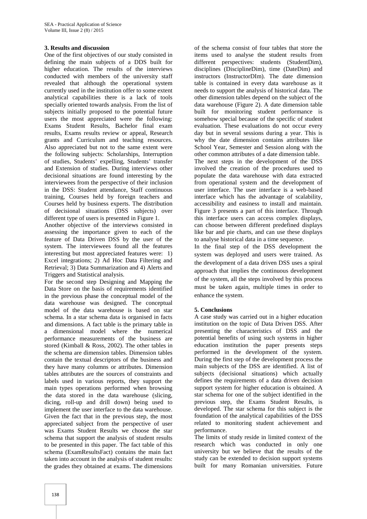#### **3. Results and discussion**

One of the first objectives of our study consisted in defining the main subjects of a DDS built for higher education. The results of the interviews conducted with members of the university staff revealed that although the operational system currently used in the institution offer to some extent analytical capabilities there is a lack of tools specially oriented towards analysis. From the list of subjects initially proposed to the potential future users the most appreciated were the following: Exams Student Results, Bachelor final exam results, Exams results review or appeal, Research grants and Curriculum and teaching resources. Also appreciated but not to the same extent were the following subjects: Scholarships, Interruption of studies, Students' expelling, Students' transfer and Extension of studies. During interviews other decisional situations are found interesting by the interviewees from the perspective of their inclusion in the DSS: Student attendance, Staff continuous training, Courses held by foreign teachers and Courses held by business experts. The distribution of decisional situations (DSS subjects) over different type of users is presented in Figure 1.

Another objective of the interviews consisted in assessing the importance given to each of the feature of Data Driven DSS by the user of the system. The interviewees found all the features interesting but most appreciated features were: 1) Excel integrations; 2) Ad Hoc Data Filtering and Retrieval; 3) Data Summarization and 4) Alerts and Triggers and Statistical analysis.

For the second step Designing and Mapping the Data Store on the basis of requirements identified in the previous phase the conceptual model of the data warehouse was designed. The conceptual model of the data warehouse is based on star schema. In a star schema data is organised in facts and dimensions. A fact table is the primary table in a dimensional model where the numerical performance measurements of the business are stored (Kimball & Ross, 2002). The other tables in the schema are dimension tables. Dimension tables contain the textual descriptors of the business and they have many columns or attributes. Dimension tables attributes are the sources of constraints and labels used in various reports, they support the main types operations performed when browsing the data stored in the data warehouse (slicing, dicing, roll-up and drill down) being used to implement the user interface to the data warehouse. Given the fact that in the previous step, the most appreciated subject from the perspective of user was Exams Student Results we choose the star schema that support the analysis of student results to be presented in this paper. The fact table of this schema (ExamResultsFact) contains the main fact taken into account in the analysis of student results: the grades they obtained at exams. The dimensions

of the schema consist of four tables that store the items used to analyse the student results from different perspectives: students (StudentDim), disciplines (DisciplineDim), time (DateDim) and instructors (InstructorDIm). The date dimension table is contained in every data warehouse as it needs to support the analysis of historical data. The other dimension tables depend on the subject of the data warehouse (Figure 2). A date dimension table built for monitoring student performance is somehow special because of the specific of student evaluation. These evaluations do not occur every day but in several sessions during a year. This is why the date dimension contains attributes like School Year, Semester and Session along with the other common attributes of a date dimension table. The next steps in the development of the DSS involved the creation of the procedures used to populate the data warehouse with data extracted from operational system and the development of user interface. The user interface is a web-based interface which has the advantage of scalability, accessibility and easiness to install and maintain. Figure 3 presents a part of this interface. Through this interface users can access complex displays, can choose between different predefined displays like bar and pie charts, and can use these displays to analyse historical data in a time sequence.

In the final step of the DSS development the system was deployed and users were trained. As the development of a data driven DSS uses a spiral approach that implies the continuous development of the system, all the steps involved by this process must be taken again, multiple times in order to enhance the system.

#### **5. Conclusions**

A case study was carried out in a higher education institution on the topic of Data Driven DSS. After presenting the characteristics of DSS and the potential benefits of using such systems in higher education institution the paper presents steps performed in the development of the system. During the first step of the development process the main subjects of the DSS are identified. A list of subjects (decisional situations) which actually defines the requirements of a data driven decision support system for higher education is obtained. A star schema for one of the subject identified in the previous step, the Exams Student Results, is developed. The star schema for this subject is the foundation of the analytical capabilities of the DSS related to monitoring student achievement and performance.

The limits of study reside in limited context of the research which was conducted in only one university but we believe that the results of the study can be extended to decision support systems built for many Romanian universities. Future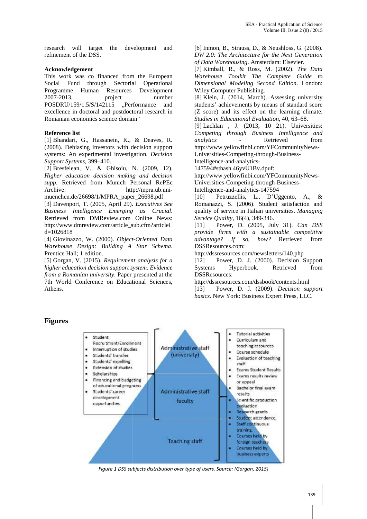research will target the development and refinement of the DSS. research will target the development and<br>refinement of the DSS.<br>**Acknowledgement**<br>This work was co financed from the European

#### **Acknowledgement**

Social Fund through Sectorial Operational Programme Human Resources Development 2007-2013, project number POSDRU/159/1.5/S/142115 "Performance and excellence in doctoral and postdoctoral research in Romanian economics science domain" Romanian Social Fund through Sectorial Operational<br>Programme Human Resources Development<br>2007-2013, project number<br>POSDRU/159/1.5/S/142115 ,,Performance and<br>excellence in doctoral and postdoctoral research in *Warehouse Coolumnat* (Section *D.* Standard *Coolumnation Michains* (Finance *Modeling Amsterhousing Amsterhousing Amsterhousing Amsterhouse Architecture for the Near Generation<br> Acknowledgement <i>G* Data *Warehous* nement of the DSS.<br> *DW 2.0: The Architecture for the*<br>
strowledgement<br>
strowthen the European<br>
Fund through Sectorial Operational<br> *Varehouse Toolkit The Com*<br>
intervalue Foolkit and through Sectorial Operational<br> *Vareho* 

#### **Reference list**

[1] Bhandari, G., Hassanein, K., & Deaves, R. (2008). Debiasing investors with decision support systems: An experimental investigation. *Decision Support Systems*, 399–410. dari, G., Hassanein, K., & Deaves, R.<br>Debiasing investors with decision support<br>An experimental investigation. *Decision* 

Support Systems, 399–410.<br>[2] Bresfelean, V., & Ghisoiu, N. (2009, 12). *Higher education decision making and decision supp.* Retrieved from Munich Personal RePEc Archive: http://mpra.ub.unimuenchen.de/26698/1/MPRA\_paper\_26698.pdf *Higher education decision making and decision*<br> *supp.* Retrieved from Munich Personal RePEc<br>
Archive: http://mpra.ub.uni-<br>
muenchen.de/26698/1/MPRA\_paper\_26698.pdf<br>
[3] Davenport, T. (2005, April 29). *Executives See* 

[3] Davenport, T. (2005, April 29). *Executives See Business Intelligence Emerging as Crucial*. Retrieved from DMReview.com Online News: http://www.dmreview.com/article\_sub.cfm?articleI d=1026818 *Business Intelligence Emerging as Crucial.*<br>
Retrieved from DMReview.com Online News:<br>
http://www.dmreview.com/article\_sub.cfm?articleI<br>
d=1026818<br>
[4] Giovinazzo, W. (2000). *Object-Oriented Data* 

*Warehouse Design: Building A Star Schema*. Prentice Hall; 1 edition.

[5] Gorgan, V. (2015). *Requirement analysis for a higher education decision support system. Evidence from a Romanian university*. Paper presented at the 7th World Conference on Educational Sciences, Athens.

[6] Inmon, B., Strauss, D., & Neushloss, G. (2008). *DW 2.0: The Architecture for the Next Generation of Data Warehousing*. Amsterdam: Elsevier.

[7] Kimball, R., & Ross, M. (2002). *The Data Warehouse Toolkit The Complete Guide to Dimensional Modeling Second Edition*. London: Wiley Computer Publishing.

[8] Klein, J. (2014, March). Assessing university students' achievements by means of standard score  $(Z \text{ score})$  and its effect on the learning climate. *Studies in Educational Evaluation*, 40, 63–68. *Studies in Educational Evaluation*, 40, 63–68.<br>[9] Lachlan , J. (2013, 10 21). Universities:

*Competing through Business Intelligence and analytics* - Retrieved from http://www.yellowfinbi.com/YFCommunityNews- Universities-Competing-through-Business-

Intelligence-and-analytics- Intelligence-and-analytics-

147594#sthash.46yvU1Bv.dpuf:

http://www.yellowfinbi.com/YFCommunityNews-

Universities-Competing-through-Business-

Intelligence-and-analytics-147594

[10] Petruzzellis, L., D'Uggento, A., & Romanazzi, S. (2006). Student satisfaction and quality of service in Italian universities. *Managing Service Quality*, 16(4), 349-346.

[11] Power, D. (2005, July 31). *Can DSS provide firms with a sustainable competitive* [11] Power, D. (2005, July 31). *Can DSS*<br>*provide firms with a sustainable competitive*<br>*advantage? If so, how?* Retrieved from DSSResources.com:

http://dssresources.com/newsletters/140.php

[12] Power, D. J. (2000). Decision Support Systems Hyperbook. Retrieved from DSSResources:

http://dssresources.com/dssbook/contents.html

[13] Power, D. J. (2009). *Decision support support*basics. New York: Business Expert Press, LLC.

# **Figures Figures**



*Figure* 1 DSS subjects distribution over type of users. Source: (Gorgan, 2015)